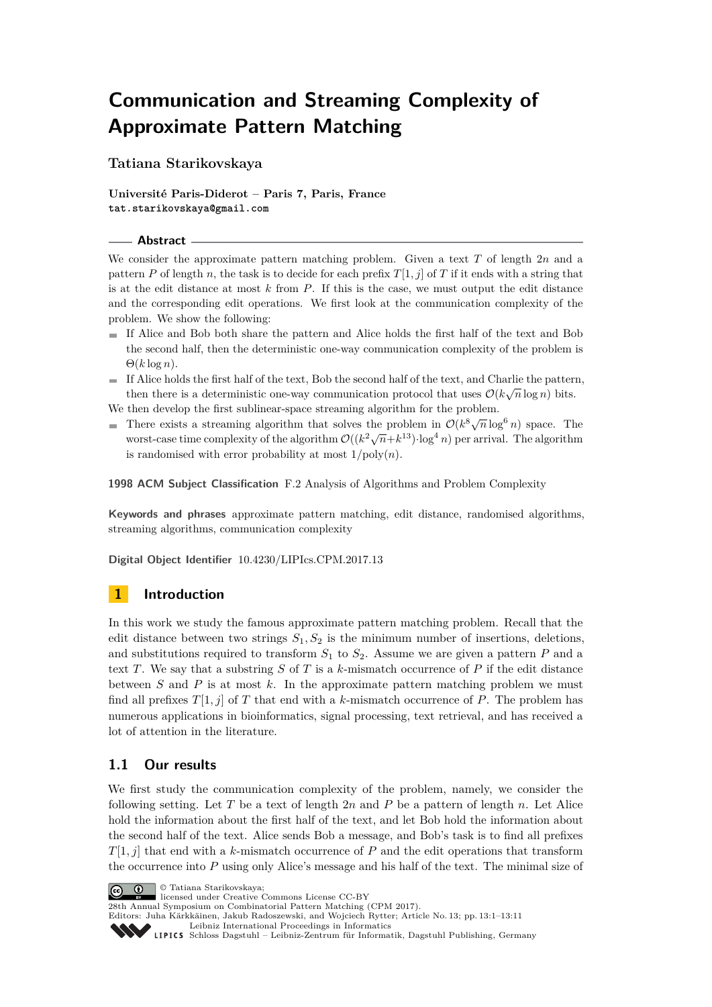# **Communication and Streaming Complexity of Approximate Pattern Matching**

**Tatiana Starikovskaya**

**Université Paris-Diderot – Paris 7, Paris, France tat.starikovskaya@gmail.com**

### **Abstract**

We consider the approximate pattern matching problem. Given a text *T* of length 2*n* and a pattern *P* of length *n*, the task is to decide for each prefix  $T[1, j]$  of *T* if it ends with a string that is at the edit distance at most *k* from *P*. If this is the case, we must output the edit distance and the corresponding edit operations. We first look at the communication complexity of the problem. We show the following:

- If Alice and Bob both share the pattern and Alice holds the first half of the text and Bob the second half, then the deterministic one-way communication complexity of the problem is  $\Theta(k \log n)$ .
- $\blacksquare$  If Alice holds the first half of the text, Bob the second half of the text, and Charlie the pattern, then there is a deterministic one-way communication protocol that uses  $\mathcal{O}(k\sqrt{n}\log n)$  bits.

We then develop the first sublinear-space streaming algorithm for the problem.

There exists a streaming algorithm that solves the problem in  $\mathcal{O}(k^8 \sqrt{n} \log^6 n)$  space. The worst-case time complexity of the algorithm  $\mathcal{O}((k^2\sqrt{n}+k^{13})\cdot \log^4 n)$  per arrival. The algorithm is randomised with error probability at most 1*/*poly(*n*).

**1998 ACM Subject Classification** F.2 Analysis of Algorithms and Problem Complexity

**Keywords and phrases** approximate pattern matching, edit distance, randomised algorithms, streaming algorithms, communication complexity

**Digital Object Identifier** [10.4230/LIPIcs.CPM.2017.13](http://dx.doi.org/10.4230/LIPIcs.CPM.2017.13)

# **1 Introduction**

In this work we study the famous approximate pattern matching problem. Recall that the edit distance between two strings  $S_1, S_2$  is the minimum number of insertions, deletions, and substitutions required to transform  $S_1$  to  $S_2$ . Assume we are given a pattern  $P$  and a text *T*. We say that a substring *S* of *T* is a *k*-mismatch occurrence of *P* if the edit distance between *S* and *P* is at most *k*. In the approximate pattern matching problem we must find all prefixes  $T[1, j]$  of  $T$  that end with a  $k$ -mismatch occurrence of  $P$ . The problem has numerous applications in bioinformatics, signal processing, text retrieval, and has received a lot of attention in the literature.

## **1.1 Our results**

We first study the communication complexity of the problem, namely, we consider the following setting. Let *T* be a text of length 2*n* and *P* be a pattern of length *n*. Let Alice hold the information about the first half of the text, and let Bob hold the information about the second half of the text. Alice sends Bob a message, and Bob's task is to find all prefixes *T*[1*, j*] that end with a *k*-mismatch occurrence of *P* and the edit operations that transform the occurrence into *P* using only Alice's message and his half of the text. The minimal size of



licensed under Creative Commons License CC-BY 28th Annual Symposium on Combinatorial Pattern Matching (CPM 2017).

Editors: Juha Kärkkäinen, Jakub Radoszewski, and Wojciech Rytter; Article No. 13; pp. 13:1–13[:11](#page-10-0)

[Leibniz International Proceedings in Informatics](http://www.dagstuhl.de/lipics/)

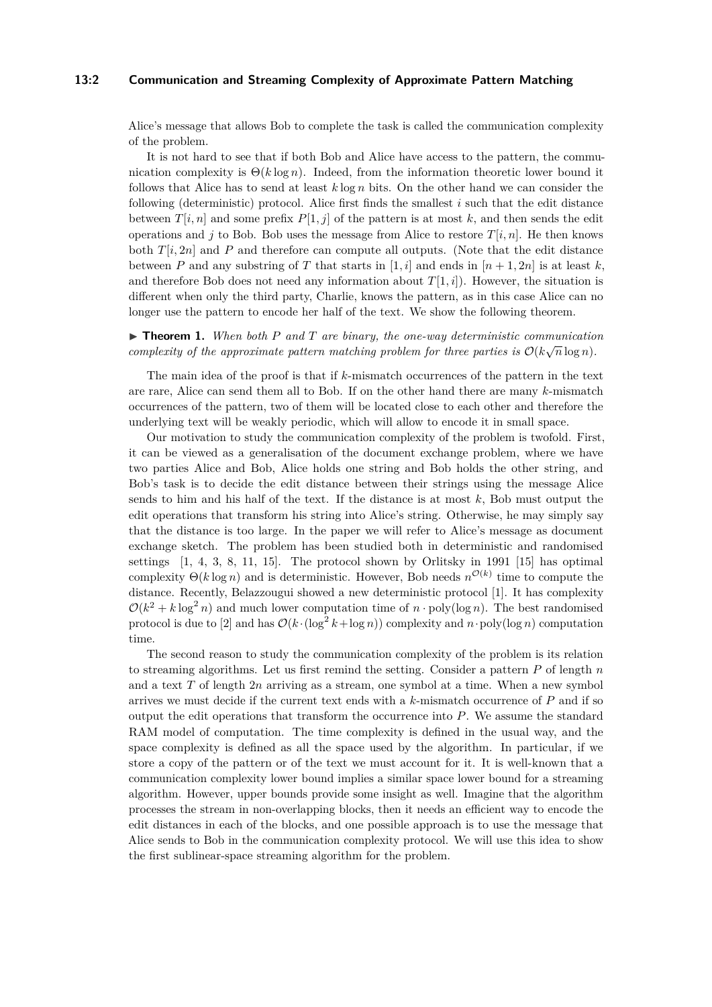#### **13:2 Communication and Streaming Complexity of Approximate Pattern Matching**

Alice's message that allows Bob to complete the task is called the communication complexity of the problem.

It is not hard to see that if both Bob and Alice have access to the pattern, the communication complexity is  $\Theta(k \log n)$ . Indeed, from the information theoretic lower bound it follows that Alice has to send at least *k* log *n* bits. On the other hand we can consider the following (deterministic) protocol. Alice first finds the smallest *i* such that the edit distance between  $T[i, n]$  and some prefix  $P[1, j]$  of the pattern is at most  $k$ , and then sends the edit operations and *j* to Bob. Bob uses the message from Alice to restore  $T[i, n]$ . He then knows both  $T[i, 2n]$  and  $P$  and therefore can compute all outputs. (Note that the edit distance between *P* and any substring of *T* that starts in [1, i] and ends in  $[n+1, 2n]$  is at least *k*, and therefore Bob does not need any information about  $T[1, i]$ ). However, the situation is different when only the third party, Charlie, knows the pattern, as in this case Alice can no longer use the pattern to encode her half of the text. We show the following theorem.

<span id="page-1-0"></span> $\blacktriangleright$  **Theorem 1.** When both *P* and *T* are binary, the one-way deterministic communication *complexity of the approximate pattern matching problem for three parties is*  $\mathcal{O}(k\sqrt{n}\log n)$ .

The main idea of the proof is that if *k*-mismatch occurrences of the pattern in the text are rare, Alice can send them all to Bob. If on the other hand there are many *k*-mismatch occurrences of the pattern, two of them will be located close to each other and therefore the underlying text will be weakly periodic, which will allow to encode it in small space.

Our motivation to study the communication complexity of the problem is twofold. First, it can be viewed as a generalisation of the document exchange problem, where we have two parties Alice and Bob, Alice holds one string and Bob holds the other string, and Bob's task is to decide the edit distance between their strings using the message Alice sends to him and his half of the text. If the distance is at most *k*, Bob must output the edit operations that transform his string into Alice's string. Otherwise, he may simply say that the distance is too large. In the paper we will refer to Alice's message as document exchange sketch. The problem has been studied both in deterministic and randomised settings [\[1,](#page-9-0) [4,](#page-9-1) [3,](#page-9-2) [8,](#page-10-1) [11,](#page-10-2) [15\]](#page-10-3). The protocol shown by Orlitsky in 1991 [\[15\]](#page-10-3) has optimal complexity  $\Theta(k \log n)$  and is deterministic. However, Bob needs  $n^{\mathcal{O}(k)}$  time to compute the distance. Recently, Belazzougui showed a new deterministic protocol [\[1\]](#page-9-0). It has complexity  $\mathcal{O}(k^2 + k \log^2 n)$  and much lower computation time of  $n \cdot \text{poly}(\log n)$ . The best randomised protocol is due to [\[2\]](#page-9-3) and has  $\mathcal{O}(k \cdot (\log^2 k + \log n))$  complexity and  $n \cdot \text{poly}(\log n)$  computation time.

The second reason to study the communication complexity of the problem is its relation to streaming algorithms. Let us first remind the setting. Consider a pattern *P* of length *n* and a text *T* of length 2*n* arriving as a stream, one symbol at a time. When a new symbol arrives we must decide if the current text ends with a *k*-mismatch occurrence of *P* and if so output the edit operations that transform the occurrence into *P*. We assume the standard RAM model of computation. The time complexity is defined in the usual way, and the space complexity is defined as all the space used by the algorithm. In particular, if we store a copy of the pattern or of the text we must account for it. It is well-known that a communication complexity lower bound implies a similar space lower bound for a streaming algorithm. However, upper bounds provide some insight as well. Imagine that the algorithm processes the stream in non-overlapping blocks, then it needs an efficient way to encode the edit distances in each of the blocks, and one possible approach is to use the message that Alice sends to Bob in the communication complexity protocol. We will use this idea to show the first sublinear-space streaming algorithm for the problem.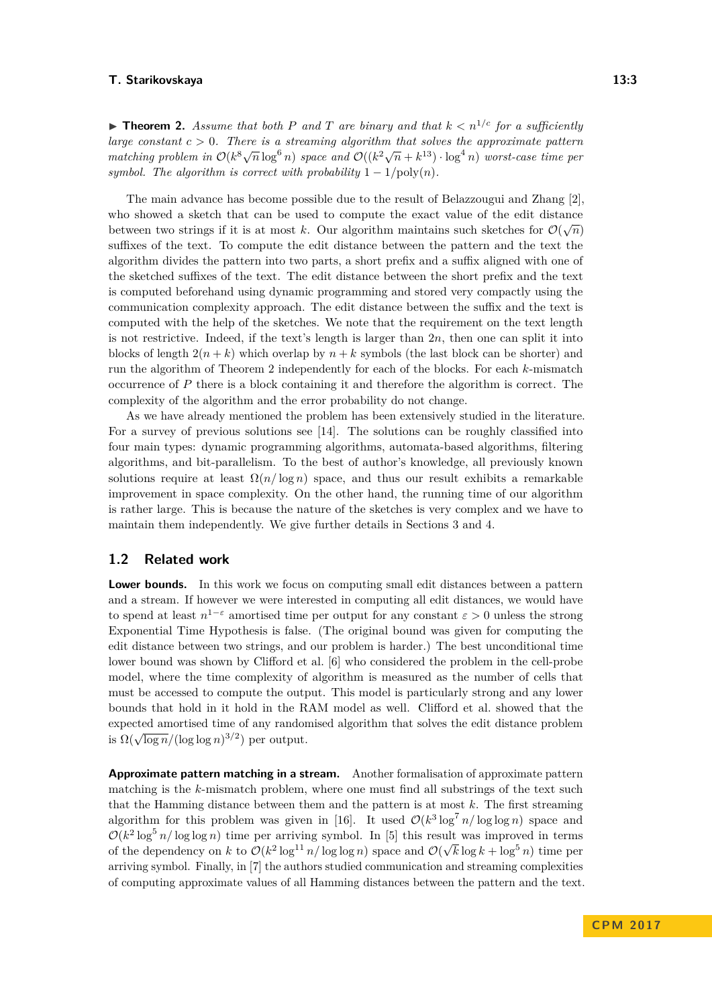<span id="page-2-0"></span>**Find 1. Theorem 2.** Assume that both P and T are binary and that  $k < n^{1/c}$  for a sufficiently *large constant*  $c > 0$ *. There is a streaming algorithm that solves the approximate pattern matching problem in*  $\mathcal{O}(k^8 \sqrt{n} \log^6 n)$  *space and*  $\mathcal{O}((k^2 \sqrt{n} + k^{13}) \cdot \log^4 n)$  *worst-case time per symbol. The algorithm is correct with probability*  $1 - 1/\text{poly}(n)$ *.* 

The main advance has become possible due to the result of Belazzougui and Zhang [\[2\]](#page-9-3), who showed a sketch that can be used to compute the exact value of the edit distance between two strings if it is at most *k*. Our algorithm maintains such sketches for  $\mathcal{O}(\sqrt{n})$ suffixes of the text. To compute the edit distance between the pattern and the text the algorithm divides the pattern into two parts, a short prefix and a suffix aligned with one of the sketched suffixes of the text. The edit distance between the short prefix and the text is computed beforehand using dynamic programming and stored very compactly using the communication complexity approach. The edit distance between the suffix and the text is computed with the help of the sketches. We note that the requirement on the text length is not restrictive. Indeed, if the text's length is larger than  $2n$ , then one can split it into blocks of length  $2(n + k)$  which overlap by  $n + k$  symbols (the last block can be shorter) and run the algorithm of Theorem [2](#page-2-0) independently for each of the blocks. For each *k*-mismatch occurrence of *P* there is a block containing it and therefore the algorithm is correct. The complexity of the algorithm and the error probability do not change.

As we have already mentioned the problem has been extensively studied in the literature. For a survey of previous solutions see [\[14\]](#page-10-4). The solutions can be roughly classified into four main types: dynamic programming algorithms, automata-based algorithms, filtering algorithms, and bit-parallelism. To the best of author's knowledge, all previously known solutions require at least  $\Omega(n/\log n)$  space, and thus our result exhibits a remarkable improvement in space complexity. On the other hand, the running time of our algorithm is rather large. This is because the nature of the sketches is very complex and we have to maintain them independently. We give further details in Sections [3](#page-5-0) and [4.](#page-9-4)

## **1.2 Related work**

**Lower bounds.** In this work we focus on computing small edit distances between a pattern and a stream. If however we were interested in computing all edit distances, we would have to spend at least  $n^{1-\epsilon}$  amortised time per output for any constant  $\varepsilon > 0$  unless the strong Exponential Time Hypothesis is false. (The original bound was given for computing the edit distance between two strings, and our problem is harder.) The best unconditional time lower bound was shown by Clifford et al. [\[6\]](#page-9-5) who considered the problem in the cell-probe model, where the time complexity of algorithm is measured as the number of cells that must be accessed to compute the output. This model is particularly strong and any lower bounds that hold in it hold in the RAM model as well. Clifford et al. showed that the expected amortised time of any randomised algorithm that solves the edit distance problem  $\frac{\exp(\cos \alpha)}{\log n}/(\log \log n)^{3/2})$  per output.

**Approximate pattern matching in a stream.** Another formalisation of approximate pattern matching is the *k*-mismatch problem, where one must find all substrings of the text such that the Hamming distance between them and the pattern is at most *k*. The first streaming algorithm for this problem was given in [\[16\]](#page-10-5). It used  $\mathcal{O}(k^3 \log^7 n / \log \log n)$  space and  $\mathcal{O}(k^2 \log^5 n / \log \log n)$  time per arriving symbol. In [\[5\]](#page-9-6) this result was improved in terms of the dependency on k to  $\mathcal{O}(k^2 \log^{11} n / \log \log n)$  space and  $\mathcal{O}(\sqrt{k} \log k + \log^5 n)$  time per arriving symbol. Finally, in [\[7\]](#page-10-6) the authors studied communication and streaming complexities of computing approximate values of all Hamming distances between the pattern and the text.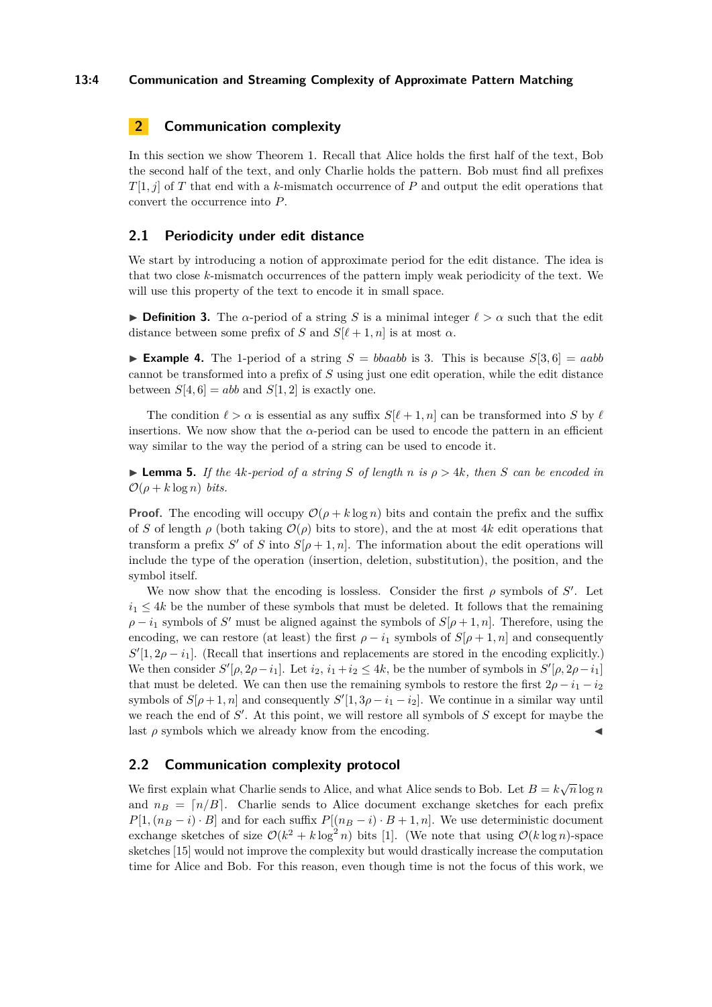## **13:4 Communication and Streaming Complexity of Approximate Pattern Matching**

## **2 Communication complexity**

In this section we show Theorem [1.](#page-1-0) Recall that Alice holds the first half of the text, Bob the second half of the text, and only Charlie holds the pattern. Bob must find all prefixes  $T[1, j]$  of *T* that end with a *k*-mismatch occurrence of *P* and output the edit operations that convert the occurrence into *P*.

## **2.1 Periodicity under edit distance**

We start by introducing a notion of approximate period for the edit distance. The idea is that two close *k*-mismatch occurrences of the pattern imply weak periodicity of the text. We will use this property of the text to encode it in small space.

**Definition 3.** The  $\alpha$ -period of a string S is a minimal integer  $\ell > \alpha$  such that the edit distance between some prefix of *S* and  $S[\ell + 1, n]$  is at most  $\alpha$ .

**Example 4.** The 1-period of a string  $S = bbaabb$  is 3. This is because  $S[3, 6] = aabb$ cannot be transformed into a prefix of *S* using just one edit operation, while the edit distance between  $S[4, 6] = abb$  and  $S[1, 2]$  is exactly one.

The condition  $\ell > \alpha$  is essential as any suffix  $S[\ell + 1, n]$  can be transformed into *S* by  $\ell$ insertions. We now show that the *α*-period can be used to encode the pattern in an efficient way similar to the way the period of a string can be used to encode it.

<span id="page-3-0"></span> $\blacktriangleright$  **Lemma 5.** If the 4*k*-period of a string *S* of length *n* is  $\rho > 4k$ , then *S* can be encoded in  $\mathcal{O}(\rho + k \log n)$  *bits.* 

**Proof.** The encoding will occupy  $\mathcal{O}(\rho + k \log n)$  bits and contain the prefix and the suffix of *S* of length  $\rho$  (both taking  $\mathcal{O}(\rho)$  bits to store), and the at most 4*k* edit operations that transform a prefix *S'* of *S* into  $S[\rho+1,n]$ . The information about the edit operations will include the type of the operation (insertion, deletion, substitution), the position, and the symbol itself.

We now show that the encoding is lossless. Consider the first  $\rho$  symbols of  $S'$ . Let  $i_1 \leq 4k$  be the number of these symbols that must be deleted. It follows that the remaining  $\rho - i_1$  symbols of *S*<sup> $\prime$ </sup> must be aligned against the symbols of  $S[\rho + 1, n]$ . Therefore, using the encoding, we can restore (at least) the first  $\rho - i_1$  symbols of  $S[\rho + 1, n]$  and consequently  $S'[1, 2\rho - i_1]$ . (Recall that insertions and replacements are stored in the encoding explicitly.) We then consider  $S'[\rho, 2\rho - i_1]$ . Let  $i_2, i_1 + i_2 \leq 4k$ , be the number of symbols in  $S'[\rho, 2\rho - i_1]$ that must be deleted. We can then use the remaining symbols to restore the first  $2\rho - i_1 - i_2$ symbols of  $S[\rho+1,n]$  and consequently  $S'[1,3\rho-i_1-i_2]$ . We continue in a similar way until we reach the end of S'. At this point, we will restore all symbols of S except for maybe the last  $\rho$  symbols which we already know from the encoding.

## **2.2 Communication complexity protocol**

We first explain what Charlie sends to Alice, and what Alice sends to Bob. Let  $B = k\sqrt{n} \log n$ and  $n_B = [n/B]$ . Charlie sends to Alice document exchange sketches for each prefix  $P[1,(n_B - i) \cdot B]$  and for each suffix  $P[(n_B - i) \cdot B + 1, n]$ . We use deterministic document exchange sketches of size  $O(k^2 + k \log^2 n)$  bits [\[1\]](#page-9-0). (We note that using  $O(k \log n)$ -space sketches [\[15\]](#page-10-3) would not improve the complexity but would drastically increase the computation time for Alice and Bob. For this reason, even though time is not the focus of this work, we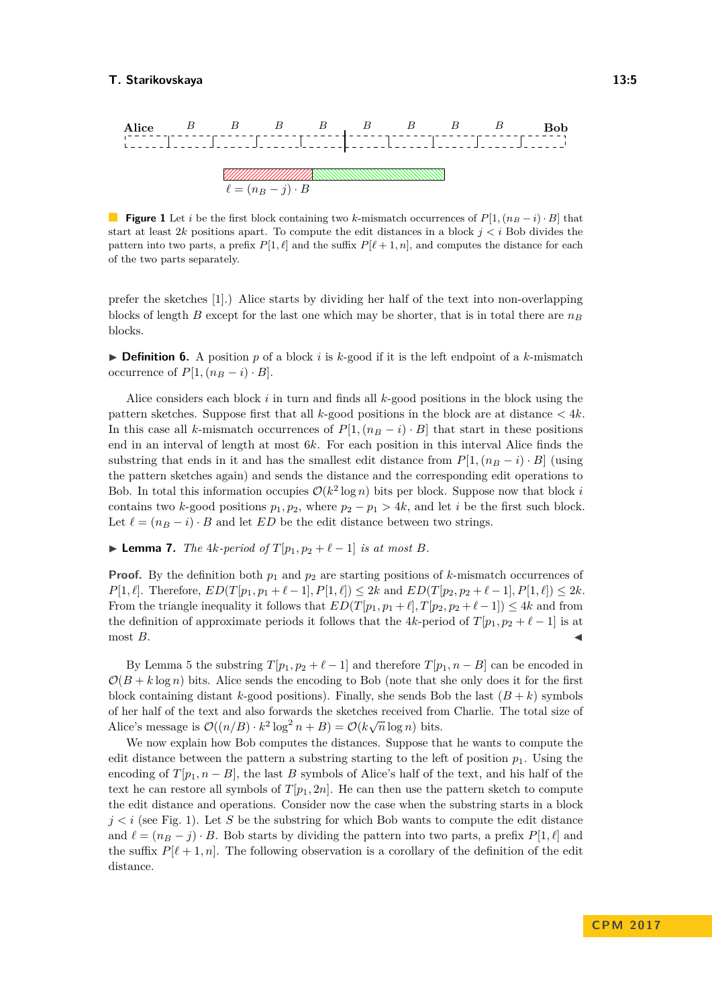<span id="page-4-0"></span>

**Figure 1** Let *i* be the first block containing two *k*-mismatch occurrences of  $P[1,(n_B - i) \cdot B]$  that start at least  $2k$  positions apart. To compute the edit distances in a block  $j < i$  Bob divides the pattern into two parts, a prefix  $P[1, \ell]$  and the suffix  $P[\ell + 1, n]$ , and computes the distance for each of the two parts separately.

prefer the sketches [\[1\]](#page-9-0).) Alice starts by dividing her half of the text into non-overlapping blocks of length *B* except for the last one which may be shorter, that is in total there are  $n_B$ blocks.

**Definition 6.** A position p of a block i is k-good if it is the left endpoint of a k-mismatch occurrence of  $P[1,(n_B - i) \cdot B]$ .

Alice considers each block *i* in turn and finds all *k*-good positions in the block using the pattern sketches. Suppose first that all *k*-good positions in the block are at distance *<* 4*k*. In this case all *k*-mismatch occurrences of  $P[1,(n_B - i) \cdot B]$  that start in these positions end in an interval of length at most 6*k*. For each position in this interval Alice finds the substring that ends in it and has the smallest edit distance from  $P[1,(n_B - i) \cdot B]$  (using the pattern sketches again) and sends the distance and the corresponding edit operations to Bob. In total this information occupies  $\mathcal{O}(k^2 \log n)$  bits per block. Suppose now that block *i* contains two *k*-good positions  $p_1, p_2$ , where  $p_2 - p_1 > 4k$ , and let *i* be the first such block. Let  $\ell = (n_B - i) \cdot B$  and let *ED* be the edit distance between two strings.

▶ **Lemma 7.** *The 4k-period of*  $T[p_1, p_2 + \ell - 1]$  *is at most B.* 

**Proof.** By the definition both  $p_1$  and  $p_2$  are starting positions of *k*-mismatch occurrences of  $P[1, \ell]$ . Therefore,  $ED(T[p_1, p_1 + \ell - 1], P[1, \ell]) \leq 2k$  and  $ED(T[p_2, p_2 + \ell - 1], P[1, \ell]) \leq 2k$ . From the triangle inequality it follows that  $ED(T[p_1, p_1 + \ell], T[p_2, p_2 + \ell - 1]) \leq 4k$  and from the definition of approximate periods it follows that the 4*k*-period of  $T[p_1, p_2 + \ell - 1]$  is at  $\Box$  most *B*.

By Lemma [5](#page-3-0) the substring  $T[p_1, p_2 + \ell - 1]$  and therefore  $T[p_1, n - B]$  can be encoded in  $\mathcal{O}(B + k \log n)$  bits. Alice sends the encoding to Bob (note that she only does it for the first block containing distant  $k$ -good positions). Finally, she sends Bob the last  $(B + k)$  symbols of her half of the text and also forwards the sketches received from Charlie. The total size of Alice's message is  $\mathcal{O}((n/B) \cdot k^2 \log^2 n + B) = \mathcal{O}(k\sqrt{n} \log n)$  bits.

We now explain how Bob computes the distances. Suppose that he wants to compute the edit distance between the pattern a substring starting to the left of position  $p_1$ . Using the encoding of  $T[p_1, n - B]$ , the last *B* symbols of Alice's half of the text, and his half of the text he can restore all symbols of  $T[p_1, 2n]$ . He can then use the pattern sketch to compute the edit distance and operations. Consider now the case when the substring starts in a block  $j < i$  (see Fig. [1\)](#page-4-0). Let S be the substring for which Bob wants to compute the edit distance and  $\ell = (n_B - j) \cdot B$ . Bob starts by dividing the pattern into two parts, a prefix *P*[1,  $\ell$ ] and the suffix  $P[\ell + 1, n]$ . The following observation is a corollary of the definition of the edit distance.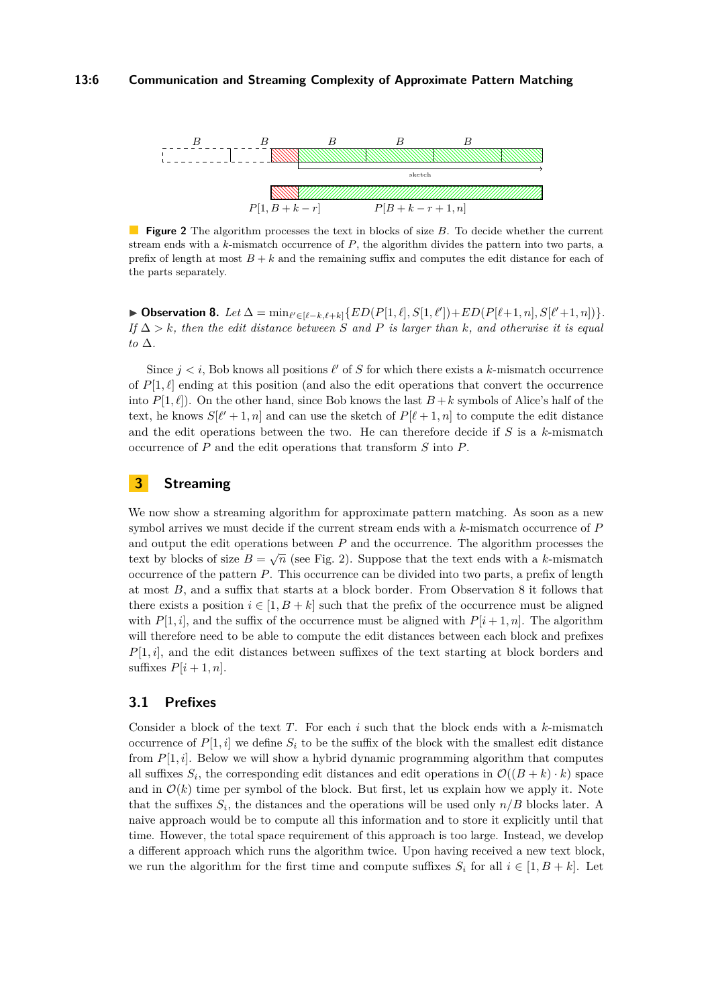<span id="page-5-1"></span>

**Figure 2** The algorithm processes the text in blocks of size *B*. To decide whether the current stream ends with a *k*-mismatch occurrence of *P*, the algorithm divides the pattern into two parts, a prefix of length at most  $B + k$  and the remaining suffix and computes the edit distance for each of the parts separately.

<span id="page-5-2"></span>► Observation 8. Let  $\Delta = \min_{\ell' \in [\ell - k, \ell + k]} \{ ED(P[1, \ell], S[1, \ell']) + ED(P[\ell + 1, n], S[\ell' + 1, n])\}.$ *If*  $\Delta > k$ *, then the edit distance between S* and *P is larger than k, and otherwise it is equal to* ∆*.*

Since  $j < i$ , Bob knows all positions  $\ell'$  of *S* for which there exists a *k*-mismatch occurrence of  $P[1, \ell]$  ending at this position (and also the edit operations that convert the occurrence into  $P[1, \ell]$ ). On the other hand, since Bob knows the last  $B + k$  symbols of Alice's half of the text, he knows  $S[\ell' + 1, n]$  and can use the sketch of  $P[\ell + 1, n]$  to compute the edit distance and the edit operations between the two. He can therefore decide if *S* is a *k*-mismatch occurrence of *P* and the edit operations that transform *S* into *P*.

## <span id="page-5-0"></span>**3 Streaming**

We now show a streaming algorithm for approximate pattern matching. As soon as a new symbol arrives we must decide if the current stream ends with a *k*-mismatch occurrence of *P* and output the edit operations between  $P$  and the occurrence. The algorithm processes the text by blocks of size  $B = \sqrt{n}$  (see Fig. [2\)](#page-5-1). Suppose that the text ends with a *k*-mismatch occurrence of the pattern *P*. This occurrence can be divided into two parts, a prefix of length at most *B*, and a suffix that starts at a block border. From Observation [8](#page-5-2) it follows that there exists a position  $i \in [1, B + k]$  such that the prefix of the occurrence must be aligned with  $P[1, i]$ , and the suffix of the occurrence must be aligned with  $P[i + 1, n]$ . The algorithm will therefore need to be able to compute the edit distances between each block and prefixes *P*[1*, i*], and the edit distances between suffixes of the text starting at block borders and suffixes  $P[i+1,n]$ .

## <span id="page-5-3"></span>**3.1 Prefixes**

Consider a block of the text *T*. For each *i* such that the block ends with a *k*-mismatch occurrence of  $P[1, i]$  we define  $S_i$  to be the suffix of the block with the smallest edit distance from *P*[1*, i*]. Below we will show a hybrid dynamic programming algorithm that computes all suffixes  $S_i$ , the corresponding edit distances and edit operations in  $\mathcal{O}((B+k) \cdot k)$  space and in  $\mathcal{O}(k)$  time per symbol of the block. But first, let us explain how we apply it. Note that the suffixes  $S_i$ , the distances and the operations will be used only  $n/B$  blocks later. A naive approach would be to compute all this information and to store it explicitly until that time. However, the total space requirement of this approach is too large. Instead, we develop a different approach which runs the algorithm twice. Upon having received a new text block, we run the algorithm for the first time and compute suffixes  $S_i$  for all  $i \in [1, B + k]$ . Let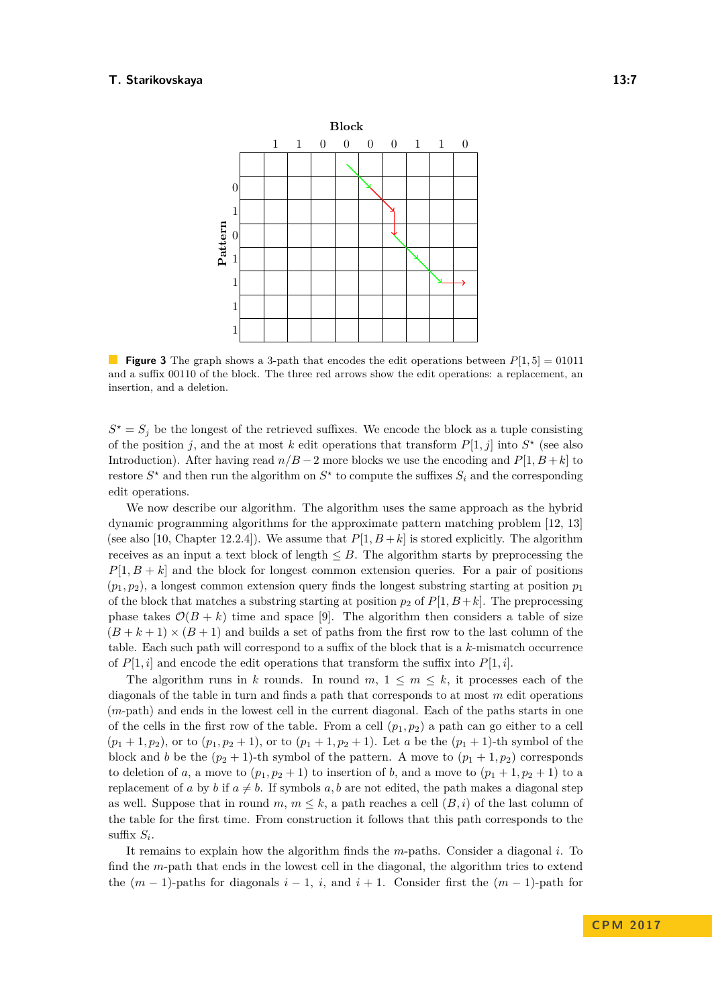

**Figure 3** The graph shows a 3-path that encodes the edit operations between  $P[1, 5] = 01011$ and a suffix 00110 of the block. The three red arrows show the edit operations: a replacement, an insertion, and a deletion.

 $S^* = S_j$  be the longest of the retrieved suffixes. We encode the block as a tuple consisting of the position *j*, and the at most *k* edit operations that transform  $P[1, j]$  into  $S^*$  (see also Introduction). After having read  $n/B - 2$  more blocks we use the encoding and  $P[1, B + k]$  to restore  $S^*$  and then run the algorithm on  $S^*$  to compute the suffixes  $S_i$  and the corresponding edit operations.

We now describe our algorithm. The algorithm uses the same approach as the hybrid dynamic programming algorithms for the approximate pattern matching problem [\[12,](#page-10-7) [13\]](#page-10-8) (see also [\[10,](#page-10-9) Chapter 12.2.4]). We assume that  $P[1, B+k]$  is stored explicitly. The algorithm receives as an input a text block of length  $\leq B$ . The algorithm starts by preprocessing the  $P[1, B + k]$  and the block for longest common extension queries. For a pair of positions  $(p_1, p_2)$ , a longest common extension query finds the longest substring starting at position  $p_1$ of the block that matches a substring starting at position  $p_2$  of  $P[1, B+k]$ . The preprocessing phase takes  $\mathcal{O}(B + k)$  time and space [\[9\]](#page-10-10). The algorithm then considers a table of size  $(B + k + 1) \times (B + 1)$  and builds a set of paths from the first row to the last column of the table. Each such path will correspond to a suffix of the block that is a *k*-mismatch occurrence of  $P[1, i]$  and encode the edit operations that transform the suffix into  $P[1, i]$ .

The algorithm runs in *k* rounds. In round  $m, 1 \leq m \leq k$ , it processes each of the diagonals of the table in turn and finds a path that corresponds to at most *m* edit operations (*m*-path) and ends in the lowest cell in the current diagonal. Each of the paths starts in one of the cells in the first row of the table. From a cell  $(p_1, p_2)$  a path can go either to a cell  $(p_1 + 1, p_2)$ , or to  $(p_1, p_2 + 1)$ , or to  $(p_1 + 1, p_2 + 1)$ . Let *a* be the  $(p_1 + 1)$ -th symbol of the block and *b* be the  $(p_2 + 1)$ -th symbol of the pattern. A move to  $(p_1 + 1, p_2)$  corresponds to deletion of *a*, a move to  $(p_1, p_2 + 1)$  to insertion of *b*, and a move to  $(p_1 + 1, p_2 + 1)$  to a replacement of *a* by *b* if  $a \neq b$ . If symbols *a*, *b* are not edited, the path makes a diagonal step as well. Suppose that in round  $m, m \leq k$ , a path reaches a cell  $(B, i)$  of the last column of the table for the first time. From construction it follows that this path corresponds to the suffix  $S_i$ .

It remains to explain how the algorithm finds the *m*-paths. Consider a diagonal *i*. To find the *m*-path that ends in the lowest cell in the diagonal, the algorithm tries to extend the  $(m-1)$ -paths for diagonals  $i-1$ ,  $i$ , and  $i+1$ . Consider first the  $(m-1)$ -path for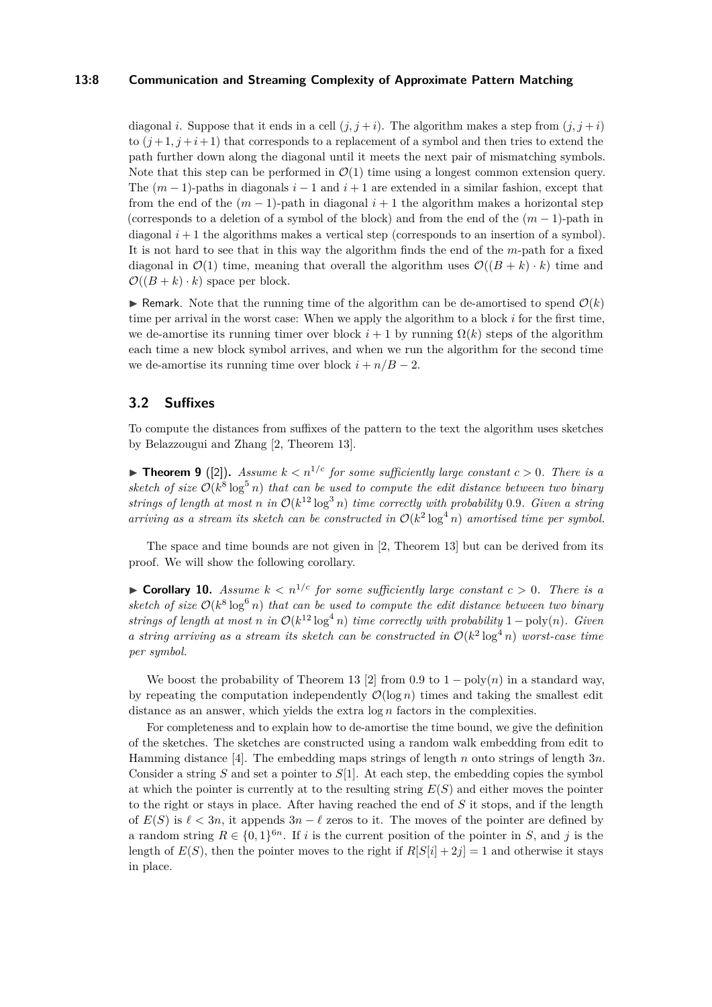### **13:8 Communication and Streaming Complexity of Approximate Pattern Matching**

diagonal *i*. Suppose that it ends in a cell  $(j, j + i)$ . The algorithm makes a step from  $(j, j + i)$ to  $(j+1, j+i+1)$  that corresponds to a replacement of a symbol and then tries to extend the path further down along the diagonal until it meets the next pair of mismatching symbols. Note that this step can be performed in  $\mathcal{O}(1)$  time using a longest common extension query. The  $(m-1)$ -paths in diagonals  $i-1$  and  $i+1$  are extended in a similar fashion, except that from the end of the  $(m-1)$ -path in diagonal  $i+1$  the algorithm makes a horizontal step (corresponds to a deletion of a symbol of the block) and from the end of the  $(m-1)$ -path in diagonal  $i+1$  the algorithms makes a vertical step (corresponds to an insertion of a symbol). It is not hard to see that in this way the algorithm finds the end of the *m*-path for a fixed diagonal in  $\mathcal{O}(1)$  time, meaning that overall the algorithm uses  $\mathcal{O}((B+k)\cdot k)$  time and  $\mathcal{O}((B+k)\cdot k)$  space per block.

**I** Remark. Note that the running time of the algorithm can be de-amortised to spend  $\mathcal{O}(k)$ time per arrival in the worst case: When we apply the algorithm to a block *i* for the first time, we de-amortise its running timer over block  $i+1$  by running  $\Omega(k)$  steps of the algorithm each time a new block symbol arrives, and when we run the algorithm for the second time we de-amortise its running time over block  $i + n/B - 2$ .

## **3.2 Suffixes**

To compute the distances from suffixes of the pattern to the text the algorithm uses sketches by Belazzougui and Zhang [\[2,](#page-9-3) Theorem 13].

**Find 1 Figurear 9** ([\[2\]](#page-9-3)). Assume  $k < n^{1/c}$  for some sufficiently large constant  $c > 0$ . There is a sketch of size  $O(k^8 \log^5 n)$  that can be used to compute the edit distance between two binary *strings of length at most n in*  $O(k^{12} \log^3 n)$  *time correctly with probability* 0.9*. Given a string arriving as a stream its sketch can be constructed in*  $O(k^2 \log^4 n)$  *amortised time per symbol.* 

The space and time bounds are not given in [\[2,](#page-9-3) Theorem 13] but can be derived from its proof. We will show the following corollary.

**Corollary 10.** Assume  $k < n^{1/c}$  for some sufficiently large constant  $c > 0$ . There is a sketch of size  $O(k^8 \log^6 n)$  that can be used to compute the edit distance between two binary *strings of length at most n in*  $O(k^{12} \log^4 n)$  *time correctly with probability* 1 – poly(*n*)*. Given a* string arriving as a stream its sketch can be constructed in  $O(k^2 \log^4 n)$  worst-case time *per symbol.*

We boost the probability of Theorem 13 [\[2\]](#page-9-3) from 0.9 to  $1 - \text{poly}(n)$  in a standard way, by repeating the computation independently  $\mathcal{O}(\log n)$  times and taking the smallest edit distance as an answer, which yields the extra  $\log n$  factors in the complexities.

For completeness and to explain how to de-amortise the time bound, we give the definition of the sketches. The sketches are constructed using a random walk embedding from edit to Hamming distance [\[4\]](#page-9-1). The embedding maps strings of length *n* onto strings of length 3*n*. Consider a string *S* and set a pointer to *S*[1]. At each step, the embedding copies the symbol at which the pointer is currently at to the resulting string *E*(*S*) and either moves the pointer to the right or stays in place. After having reached the end of *S* it stops, and if the length of  $E(S)$  is  $\ell < 3n$ , it appends  $3n - \ell$  zeros to it. The moves of the pointer are defined by a random string  $R \in \{0,1\}^{6n}$ . If *i* is the current position of the pointer in *S*, and *j* is the length of  $E(S)$ , then the pointer moves to the right if  $R[S[i] + 2j] = 1$  and otherwise it stays in place.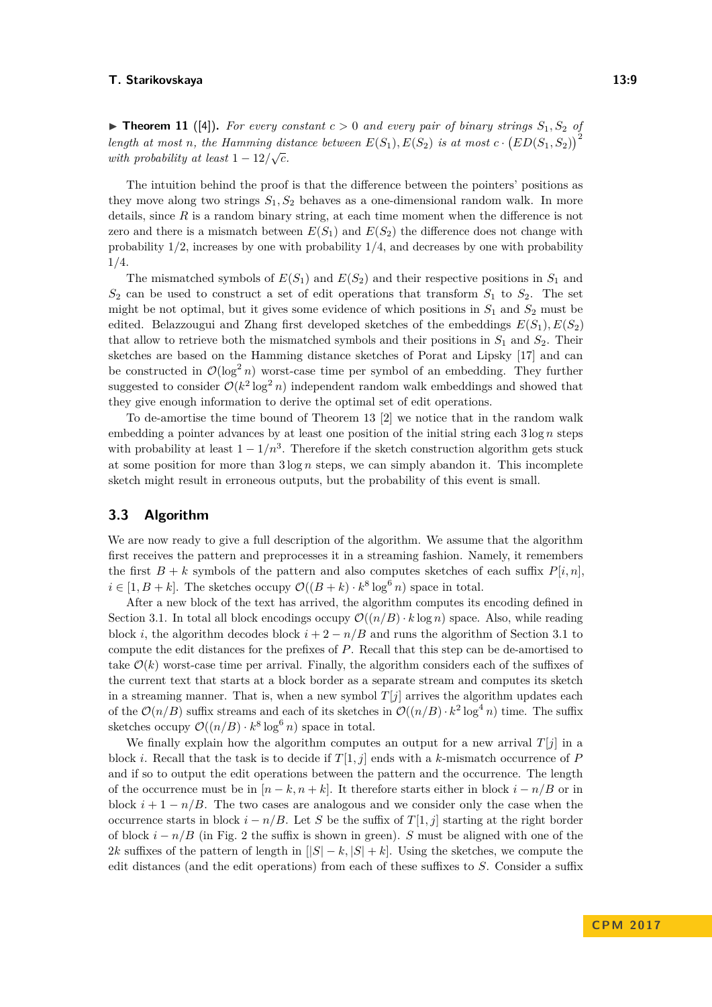$\triangleright$  **Theorem 11** ([\[4\]](#page-9-1)). For every constant  $c > 0$  and every pair of binary strings  $S_1, S_2$  of *length at most n*, the Hamming distance between  $E(S_1), E(S_2)$  *is at most*  $c \cdot (ED(S_1, S_2))^2$ *with probability at least*  $1 - \frac{12}{\sqrt{c}}$ .

The intuition behind the proof is that the difference between the pointers' positions as they move along two strings  $S_1, S_2$  behaves as a one-dimensional random walk. In more details, since *R* is a random binary string, at each time moment when the difference is not zero and there is a mismatch between  $E(S_1)$  and  $E(S_2)$  the difference does not change with probability 1*/*2, increases by one with probability 1*/*4, and decreases by one with probability 1*/*4.

The mismatched symbols of  $E(S_1)$  and  $E(S_2)$  and their respective positions in  $S_1$  and  $S_2$  can be used to construct a set of edit operations that transform  $S_1$  to  $S_2$ . The set might be not optimal, but it gives some evidence of which positions in  $S_1$  and  $S_2$  must be edited. Belazzougui and Zhang first developed sketches of the embeddings  $E(S_1), E(S_2)$ that allow to retrieve both the mismatched symbols and their positions in  $S_1$  and  $S_2$ . Their sketches are based on the Hamming distance sketches of Porat and Lipsky [\[17\]](#page-10-11) and can be constructed in  $\mathcal{O}(\log^2 n)$  worst-case time per symbol of an embedding. They further suggested to consider  $\mathcal{O}(k^2 \log^2 n)$  independent random walk embeddings and showed that they give enough information to derive the optimal set of edit operations.

To de-amortise the time bound of Theorem 13 [\[2\]](#page-9-3) we notice that in the random walk embedding a pointer advances by at least one position of the initial string each  $3 \log n$  steps with probability at least  $1 - 1/n^3$ . Therefore if the sketch construction algorithm gets stuck at some position for more than  $3 \log n$  steps, we can simply abandon it. This incomplete sketch might result in erroneous outputs, but the probability of this event is small.

## **3.3 Algorithm**

We are now ready to give a full description of the algorithm. We assume that the algorithm first receives the pattern and preprocesses it in a streaming fashion. Namely, it remembers the first  $B + k$  symbols of the pattern and also computes sketches of each suffix  $P[i, n]$ ,  $i \in [1, B + k]$ . The sketches occupy  $\mathcal{O}((B + k) \cdot k^8 \log^6 n)$  space in total.

After a new block of the text has arrived, the algorithm computes its encoding defined in Section [3.1.](#page-5-3) In total all block encodings occupy  $\mathcal{O}((n/B) \cdot k \log n)$  space. Also, while reading block *i*, the algorithm decodes block  $i + 2 - n/B$  and runs the algorithm of Section [3.1](#page-5-3) to compute the edit distances for the prefixes of *P*. Recall that this step can be de-amortised to take  $\mathcal{O}(k)$  worst-case time per arrival. Finally, the algorithm considers each of the suffixes of the current text that starts at a block border as a separate stream and computes its sketch in a streaming manner. That is, when a new symbol  $T[j]$  arrives the algorithm updates each of the  $\mathcal{O}(n/B)$  suffix streams and each of its sketches in  $\mathcal{O}((n/B) \cdot k^2 \log^4 n)$  time. The suffix sketches occupy  $\mathcal{O}((n/B) \cdot k^8 \log^6 n)$  space in total.

We finally explain how the algorithm computes an output for a new arrival  $T[j]$  in a block *i*. Recall that the task is to decide if  $T[1, j]$  ends with a *k*-mismatch occurrence of *P* and if so to output the edit operations between the pattern and the occurrence. The length of the occurrence must be in  $[n - k, n + k]$ . It therefore starts either in block  $i - n/B$  or in block  $i + 1 - n/B$ . The two cases are analogous and we consider only the case when the occurrence starts in block  $i - n/B$ . Let *S* be the suffix of *T*[1*, j*] starting at the right border of block  $i - n/B$  (in Fig. [2](#page-5-1) the suffix is shown in green). *S* must be aligned with one of the 2*k* suffixes of the pattern of length in  $||S| - k$ ,  $|S| + k$ . Using the sketches, we compute the edit distances (and the edit operations) from each of these suffixes to *S*. Consider a suffix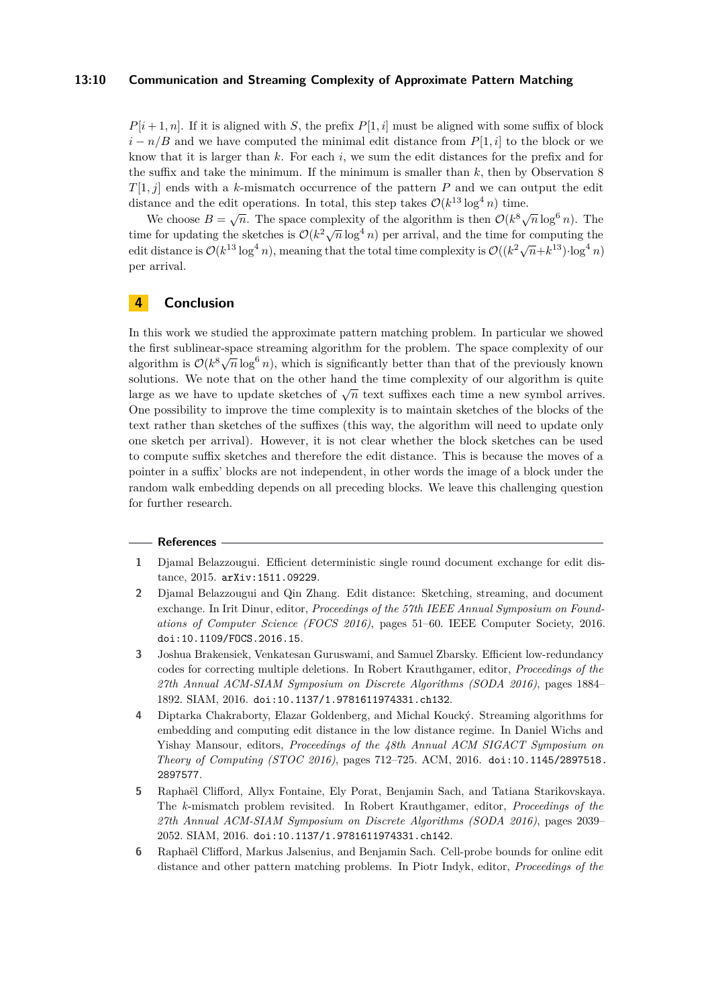#### **13:10 Communication and Streaming Complexity of Approximate Pattern Matching**

 $P[i+1,n]$ . If it is aligned with *S*, the prefix  $P[1,i]$  must be aligned with some suffix of block  $i - n/B$  and we have computed the minimal edit distance from  $P[1, i]$  to the block or we know that it is larger than *k*. For each *i*, we sum the edit distances for the prefix and for the suffix and take the minimum. If the minimum is smaller than *k*, then by Observation [8](#page-5-2) *T*[1*, j*] ends with a *k*-mismatch occurrence of the pattern *P* and we can output the edit distance and the edit operations. In total, this step takes  $\mathcal{O}(k^{13} \log^4 n)$  time.

We choose  $B = \sqrt{n}$ . The space complexity of the algorithm is then  $O(k^8\sqrt{n}\log^6 n)$ . The time for updating the sketches is  $\mathcal{O}(k^2 \sqrt{n} \log^4 n)$  per arrival, and the time for computing the edit distance is  $\mathcal{O}(k^{13} \log^4 n)$ , meaning that the total time complexity is  $\mathcal{O}((k^2 \sqrt{n} + k^{13}) \cdot \log^4 n)$ per arrival.

## <span id="page-9-4"></span>**4 Conclusion**

In this work we studied the approximate pattern matching problem. In particular we showed the first sublinear-space streaming algorithm for the problem. The space complexity of our algorithm is  $\mathcal{O}(k^8 \sqrt{n} \log^6 n)$ , which is significantly better than that of the previously known solutions. We note that on the other hand the time complexity of our algorithm is quite large as we have to update sketches of  $\sqrt{n}$  text suffixes each time a new symbol arrives. One possibility to improve the time complexity is to maintain sketches of the blocks of the text rather than sketches of the suffixes (this way, the algorithm will need to update only one sketch per arrival). However, it is not clear whether the block sketches can be used to compute suffix sketches and therefore the edit distance. This is because the moves of a pointer in a suffix' blocks are not independent, in other words the image of a block under the random walk embedding depends on all preceding blocks. We leave this challenging question for further research.

#### **References**

- <span id="page-9-0"></span>**1** Djamal Belazzougui. Efficient deterministic single round document exchange for edit distance, 2015. [arXiv:1511.09229](http://arxiv.org/abs/1511.09229).
- <span id="page-9-3"></span>**2** Djamal Belazzougui and Qin Zhang. Edit distance: Sketching, streaming, and document exchange. In Irit Dinur, editor, *Proceedings of the 57th IEEE Annual Symposium on Foundations of Computer Science (FOCS 2016)*, pages 51–60. IEEE Computer Society, 2016. [doi:10.1109/FOCS.2016.15](http://dx.doi.org/10.1109/FOCS.2016.15).
- <span id="page-9-2"></span>**3** Joshua Brakensiek, Venkatesan Guruswami, and Samuel Zbarsky. Efficient low-redundancy codes for correcting multiple deletions. In Robert Krauthgamer, editor, *Proceedings of the 27th Annual ACM-SIAM Symposium on Discrete Algorithms (SODA 2016)*, pages 1884– 1892. SIAM, 2016. [doi:10.1137/1.9781611974331.ch132](http://dx.doi.org/10.1137/1.9781611974331.ch132).
- <span id="page-9-1"></span>**4** Diptarka Chakraborty, Elazar Goldenberg, and Michal Koucký. Streaming algorithms for embedding and computing edit distance in the low distance regime. In Daniel Wichs and Yishay Mansour, editors, *Proceedings of the 48th Annual ACM SIGACT Symposium on Theory of Computing (STOC 2016)*, pages 712–725. ACM, 2016. [doi:10.1145/2897518.](http://dx.doi.org/10.1145/2897518.2897577) [2897577](http://dx.doi.org/10.1145/2897518.2897577).
- <span id="page-9-6"></span>**5** Raphaël Clifford, Allyx Fontaine, Ely Porat, Benjamin Sach, and Tatiana Starikovskaya. The *k*-mismatch problem revisited. In Robert Krauthgamer, editor, *Proceedings of the 27th Annual ACM-SIAM Symposium on Discrete Algorithms (SODA 2016)*, pages 2039– 2052. SIAM, 2016. [doi:10.1137/1.9781611974331.ch142](http://dx.doi.org/10.1137/1.9781611974331.ch142).
- <span id="page-9-5"></span>**6** Raphaël Clifford, Markus Jalsenius, and Benjamin Sach. Cell-probe bounds for online edit distance and other pattern matching problems. In Piotr Indyk, editor, *Proceedings of the*